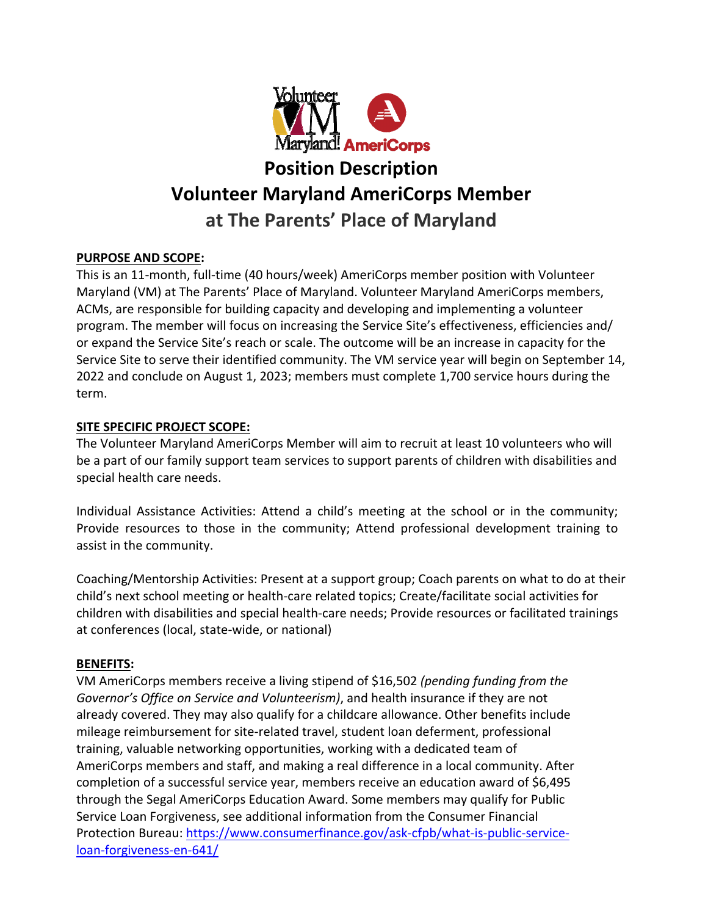

# **Position Description Volunteer Maryland AmeriCorps Member at The Parents' Place of Maryland**

# **PURPOSE AND SCOPE:**

This is an 11‐month, full‐time (40 hours/week) AmeriCorps member position with Volunteer Maryland (VM) at The Parents' Place of Maryland. Volunteer Maryland AmeriCorps members, ACMs, are responsible for building capacity and developing and implementing a volunteer program. The member will focus on increasing the Service Site's effectiveness, efficiencies and/ or expand the Service Site's reach or scale. The outcome will be an increase in capacity for the Service Site to serve their identified community. The VM service year will begin on September 14, 2022 and conclude on August 1, 2023; members must complete 1,700 service hours during the term.

# **SITE SPECIFIC PROJECT SCOPE:**

The Volunteer Maryland AmeriCorps Member will aim to recruit at least 10 volunteers who will be a part of our family support team services to support parents of children with disabilities and special health care needs.

Individual Assistance Activities: Attend a child's meeting at the school or in the community; Provide resources to those in the community; Attend professional development training to assist in the community.

Coaching/Mentorship Activities: Present at a support group; Coach parents on what to do at their child's next school meeting or health‐care related topics; Create/facilitate social activities for children with disabilities and special health‐care needs; Provide resources or facilitated trainings at conferences (local, state‐wide, or national)

# **BENEFITS:**

VM AmeriCorps members receive a living stipend of \$16,502 *(pending funding from the Governor's Office on Service and Volunteerism)*, and health insurance if they are not already covered. They may also qualify for a childcare allowance. Other benefits include mileage reimbursement for site‐related travel, student loan deferment, professional training, valuable networking opportunities, working with a dedicated team of AmeriCorps members and staff, and making a real difference in a local community. After completion of a successful service year, members receive an education award of \$6,495 through the Segal AmeriCorps Education Award. Some members may qualify for Public Service Loan Forgiveness, see additional information from the Consumer Financial Protection Bureau: https://www.consumerfinance.gov/ask‐cfpb/what‐is‐public‐service‐ loan‐forgiveness‐en‐641/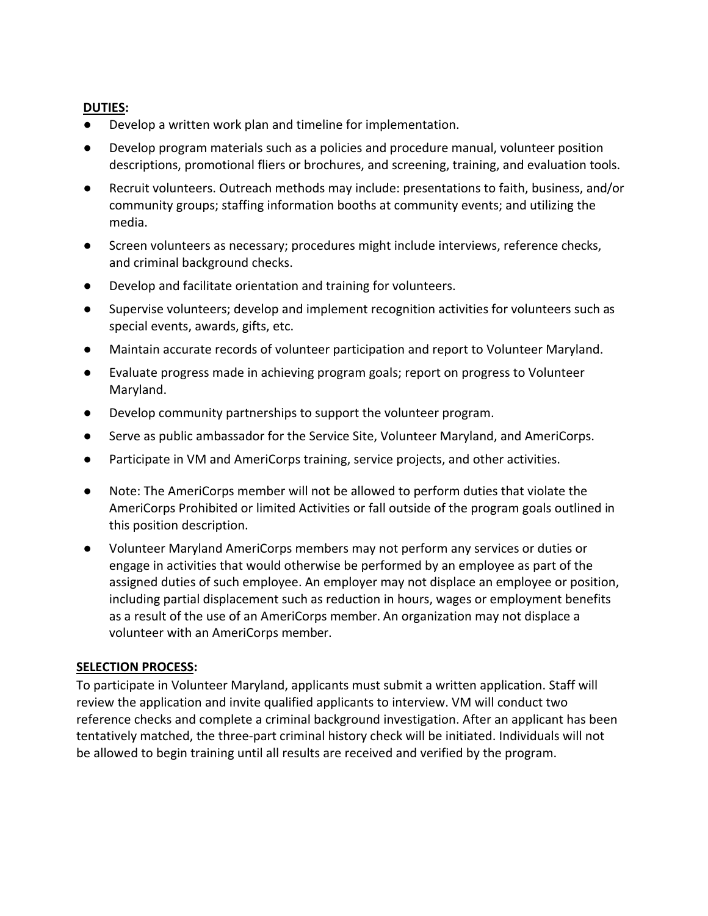## **DUTIES:**

- Develop a written work plan and timeline for implementation.
- Develop program materials such as a policies and procedure manual, volunteer position descriptions, promotional fliers or brochures, and screening, training, and evaluation tools.
- Recruit volunteers. Outreach methods may include: presentations to faith, business, and/or community groups; staffing information booths at community events; and utilizing the media.
- Screen volunteers as necessary; procedures might include interviews, reference checks, and criminal background checks.
- Develop and facilitate orientation and training for volunteers.
- Supervise volunteers; develop and implement recognition activities for volunteers such as special events, awards, gifts, etc.
- Maintain accurate records of volunteer participation and report to Volunteer Maryland.
- Evaluate progress made in achieving program goals; report on progress to Volunteer Maryland.
- Develop community partnerships to support the volunteer program.
- Serve as public ambassador for the Service Site, Volunteer Maryland, and AmeriCorps.
- Participate in VM and AmeriCorps training, service projects, and other activities.
- Note: The AmeriCorps member will not be allowed to perform duties that violate the AmeriCorps Prohibited or limited Activities or fall outside of the program goals outlined in this position description.
- Volunteer Maryland AmeriCorps members may not perform any services or duties or engage in activities that would otherwise be performed by an employee as part of the assigned duties of such employee. An employer may not displace an employee or position, including partial displacement such as reduction in hours, wages or employment benefits as a result of the use of an AmeriCorps member. An organization may not displace a volunteer with an AmeriCorps member.

### **SELECTION PROCESS:**

To participate in Volunteer Maryland, applicants must submit a written application. Staff will review the application and invite qualified applicants to interview. VM will conduct two reference checks and complete a criminal background investigation. After an applicant has been tentatively matched, the three‐part criminal history check will be initiated. Individuals will not be allowed to begin training until all results are received and verified by the program.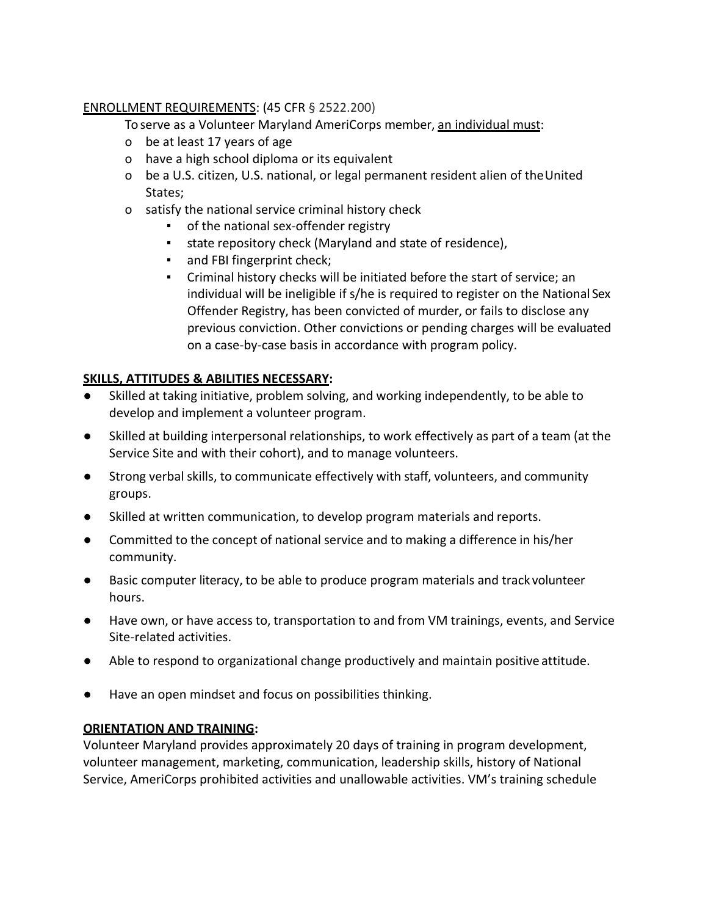# ENROLLMENT REQUIREMENTS: (45 CFR § 2522.200)

To serve as a Volunteer Maryland AmeriCorps member, an individual must:

- o be at least 17 years of age
- o have a high school diploma or its equivalent
- o be a U.S. citizen, U.S. national, or legal permanent resident alien of theUnited States;
- o satisfy the national service criminal history check
	- of the national sex-offender registry
	- state repository check (Maryland and state of residence),
	- and FBI fingerprint check;
	- Criminal history checks will be initiated before the start of service; an individual will be ineligible if s/he is required to register on the National Sex Offender Registry, has been convicted of murder, or fails to disclose any previous conviction. Other convictions or pending charges will be evaluated on a case‐by‐case basis in accordance with program policy.

# **SKILLS, ATTITUDES & ABILITIES NECESSARY:**

- Skilled at taking initiative, problem solving, and working independently, to be able to develop and implement a volunteer program.
- Skilled at building interpersonal relationships, to work effectively as part of a team (at the Service Site and with their cohort), and to manage volunteers.
- Strong verbal skills, to communicate effectively with staff, volunteers, and community groups.
- Skilled at written communication, to develop program materials and reports.
- Committed to the concept of national service and to making a difference in his/her community.
- Basic computer literacy, to be able to produce program materials and track volunteer hours.
- Have own, or have access to, transportation to and from VM trainings, events, and Service Site-related activities.
- Able to respond to organizational change productively and maintain positive attitude.
- Have an open mindset and focus on possibilities thinking.

# **ORIENTATION AND TRAINING:**

Volunteer Maryland provides approximately 20 days of training in program development, volunteer management, marketing, communication, leadership skills, history of National Service, AmeriCorps prohibited activities and unallowable activities. VM's training schedule